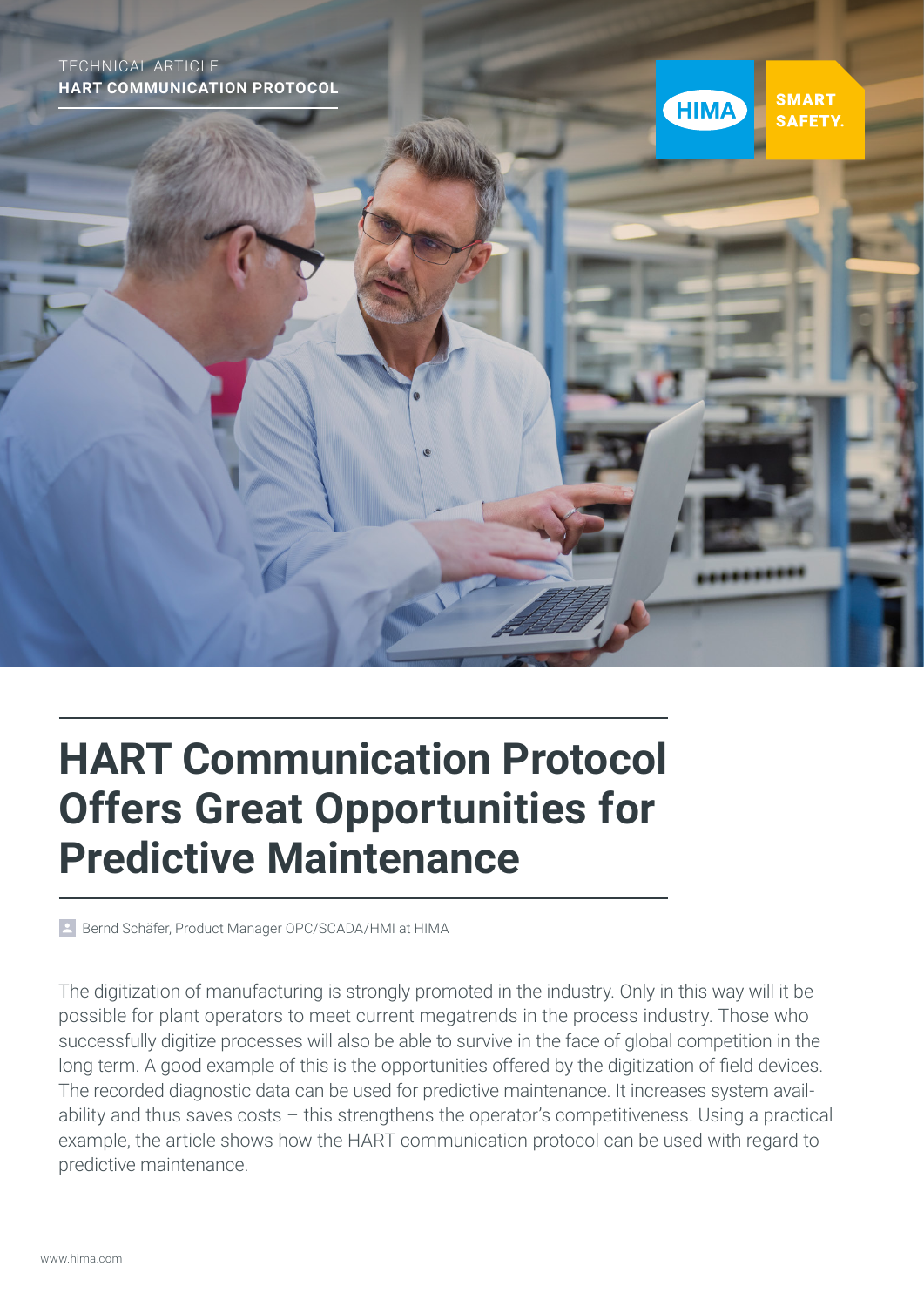TECHNICAL ARTICLE **HART COMMUNICATION PROTOCOL**



# **HART Communication Protocol Offers Great Opportunities for Predictive Maintenance**

Bernd Schäfer, Product Manager OPC/SCADA/HMI at HIMA

The digitization of manufacturing is strongly promoted in the industry. Only in this way will it be possible for plant operators to meet current megatrends in the process industry. Those who successfully digitize processes will also be able to survive in the face of global competition in the long term. A good example of this is the opportunities offered by the digitization of field devices. The recorded diagnostic data can be used for predictive maintenance. It increases system availability and thus saves costs – this strengthens the operator's competitiveness. Using a practical example, the article shows how the HART communication protocol can be used with regard to predictive maintenance.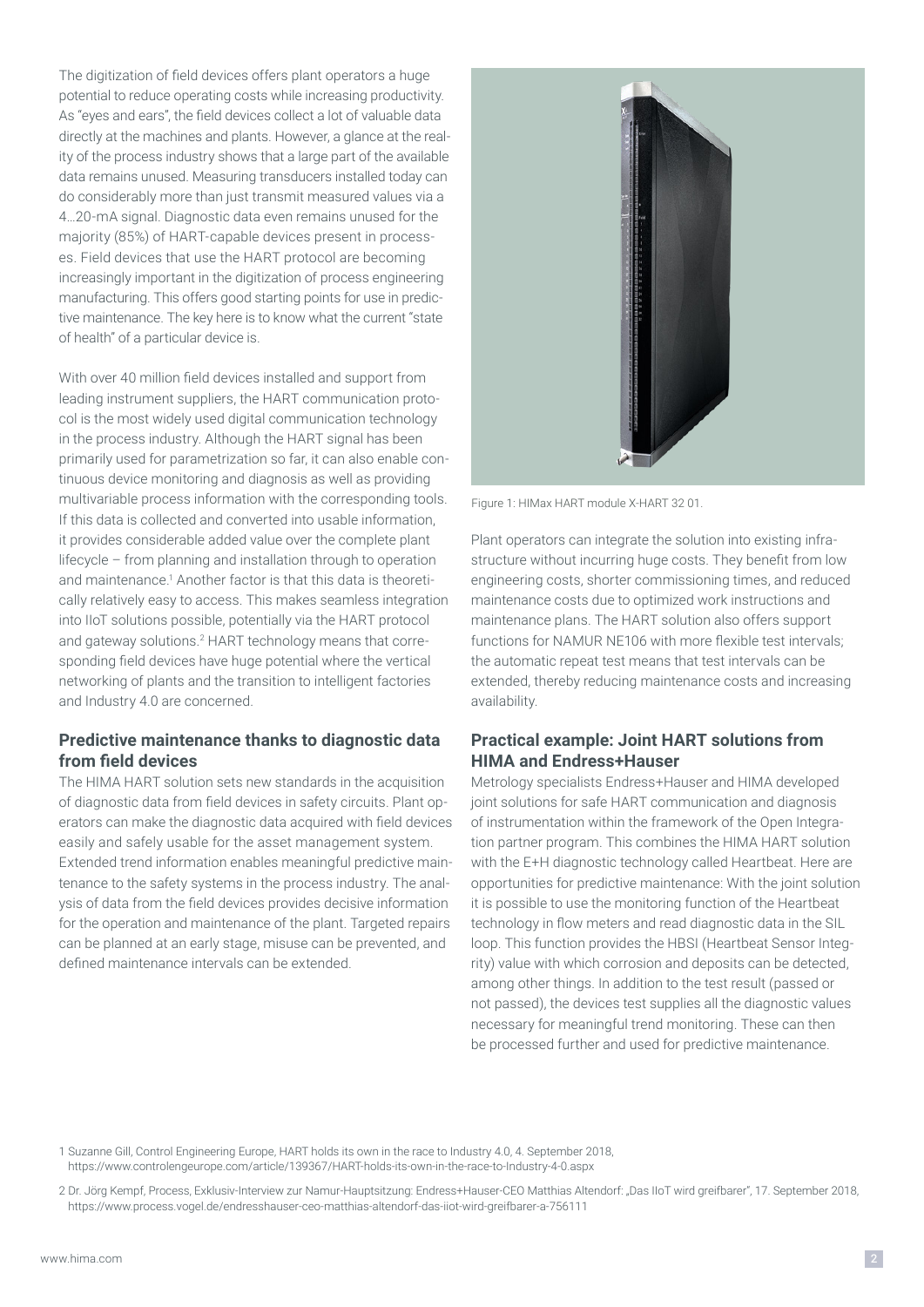The digitization of field devices offers plant operators a huge potential to reduce operating costs while increasing productivity. As "eyes and ears", the field devices collect a lot of valuable data directly at the machines and plants. However, a glance at the reality of the process industry shows that a large part of the available data remains unused. Measuring transducers installed today can do considerably more than just transmit measured values via a 4…20-mA signal. Diagnostic data even remains unused for the majority (85%) of HART-capable devices present in processes. Field devices that use the HART protocol are becoming increasingly important in the digitization of process engineering manufacturing. This offers good starting points for use in predictive maintenance. The key here is to know what the current "state of health" of a particular device is.

With over 40 million field devices installed and support from leading instrument suppliers, the HART communication protocol is the most widely used digital communication technology in the process industry. Although the HART signal has been primarily used for parametrization so far, it can also enable continuous device monitoring and diagnosis as well as providing multivariable process information with the corresponding tools. If this data is collected and converted into usable information, it provides considerable added value over the complete plant lifecycle – from planning and installation through to operation and maintenance.<sup>1</sup> Another factor is that this data is theoretically relatively easy to access. This makes seamless integration into IIoT solutions possible, potentially via the HART protocol and gateway solutions.<sup>2</sup> HART technology means that corresponding field devices have huge potential where the vertical networking of plants and the transition to intelligent factories and Industry 4.0 are concerned.

### **Predictive maintenance thanks to diagnostic data from field devices**

The HIMA HART solution sets new standards in the acquisition of diagnostic data from field devices in safety circuits. Plant operators can make the diagnostic data acquired with field devices easily and safely usable for the asset management system. Extended trend information enables meaningful predictive maintenance to the safety systems in the process industry. The analysis of data from the field devices provides decisive information for the operation and maintenance of the plant. Targeted repairs can be planned at an early stage, misuse can be prevented, and defined maintenance intervals can be extended.



Figure 1: HIMax HART module X-HART 32 01.

Plant operators can integrate the solution into existing infrastructure without incurring huge costs. They benefit from low engineering costs, shorter commissioning times, and reduced maintenance costs due to optimized work instructions and maintenance plans. The HART solution also offers support functions for NAMUR NE106 with more flexible test intervals; the automatic repeat test means that test intervals can be extended, thereby reducing maintenance costs and increasing availability.

### **Practical example: Joint HART solutions from HIMA and Endress+Hauser**

Metrology specialists Endress+Hauser and HIMA developed joint solutions for safe HART communication and diagnosis of instrumentation within the framework of the Open Integration partner program. This combines the HIMA HART solution with the E+H diagnostic technology called Heartbeat. Here are opportunities for predictive maintenance: With the joint solution it is possible to use the monitoring function of the Heartbeat technology in flow meters and read diagnostic data in the SIL loop. This function provides the HBSI (Heartbeat Sensor Integrity) value with which corrosion and deposits can be detected, among other things. In addition to the test result (passed or not passed), the devices test supplies all the diagnostic values necessary for meaningful trend monitoring. These can then be processed further and used for predictive maintenance.

1 Suzanne Gill, Control Engineering Europe, HART holds its own in the race to Industry 4.0, 4. September 2018, https://www.controlengeurope.com/article/139367/HART-holds-its-own-in-the-race-to-Industry-4-0.aspx

2 Dr. Jörg Kempf, Process, Exklusiv-Interview zur Namur-Hauptsitzung: Endress+Hauser-CEO Matthias Altendorf: "Das IIoT wird greifbarer", 17. September 2018, https://www.process.vogel.de/endresshauser-ceo-matthias-altendorf-das-iiot-wird-greifbarer-a-756111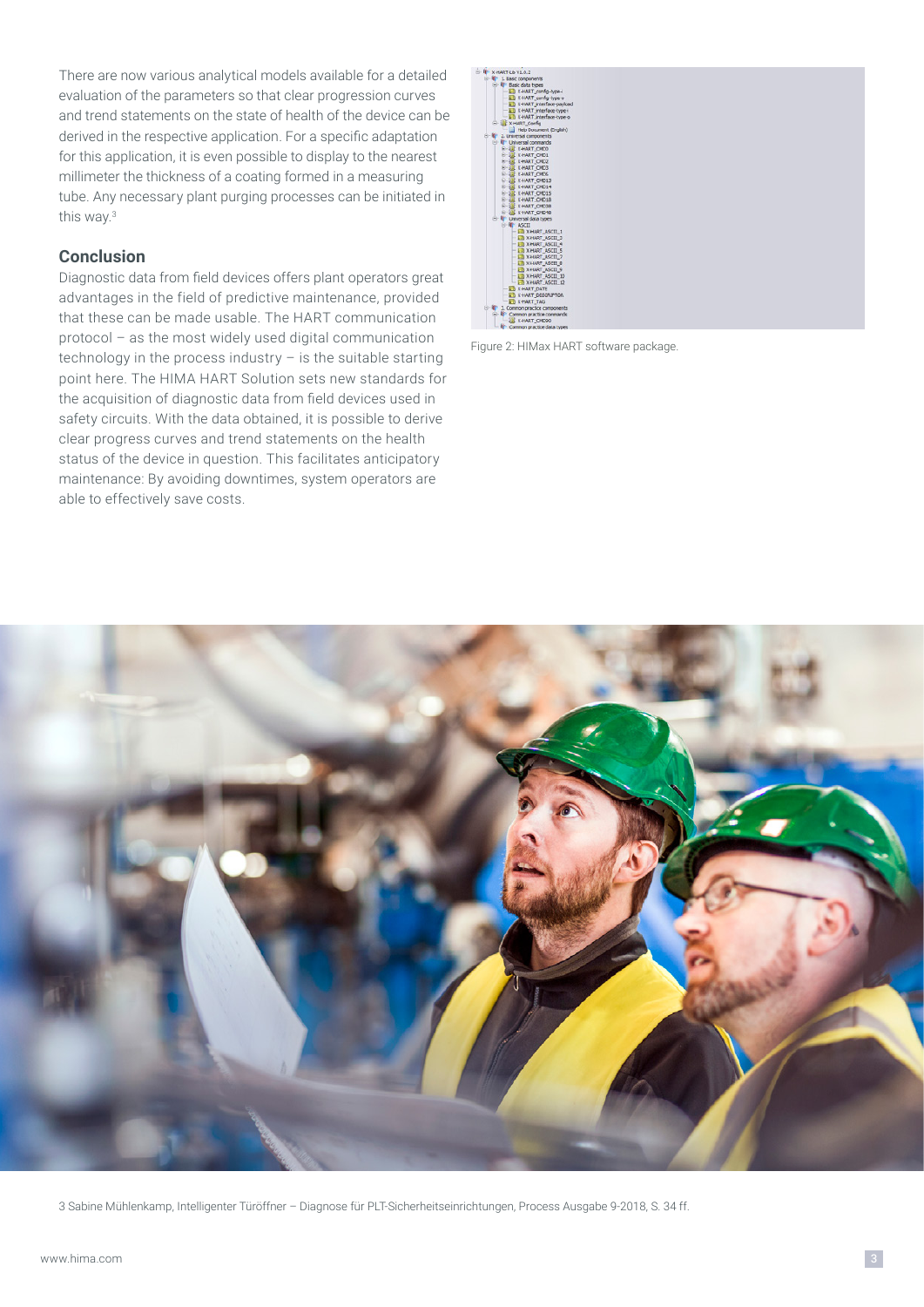There are now various analytical models available for a detailed evaluation of the parameters so that clear progression curves and trend statements on the state of health of the device can be derived in the respective application. For a specific adaptation for this application, it is even possible to display to the nearest millimeter the thickness of a coating formed in a measuring tube. Any necessary plant purging processes can be initiated in this way.3

#### **Conclusion**

Diagnostic data from field devices offers plant operators great advantages in the field of predictive maintenance, provided that these can be made usable. The HART communication protocol – as the most widely used digital communication technology in the process industry – is the suitable starting point here. The HIMA HART Solution sets new standards for the acquisition of diagnostic data from field devices used in safety circuits. With the data obtained, it is possible to derive clear progress curves and trend statements on the health status of the device in question. This facilitates anticipatory maintenance: By avoiding downtimes, system operators are able to effectively save costs.



Figure 2: HIMax HART software package.



3 Sabine Mühlenkamp, Intelligenter Türöffner – Diagnose für PLT-Sicherheitseinrichtungen, Process Ausgabe 9-2018, S. 34 ff.